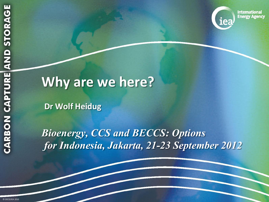

**International Energy Agency** 

# **Why are we here?**

**Dr Wolf Heidug**

*Bioenergy, CCS and BECCS: Options for Indonesia, Jakarta, 21-23 September 2012*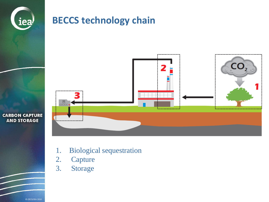

### **BECCS technology chain**



**CARBON CAPTURE AND STORAGE** 

- 1. Biological sequestration
- 2. Capture
- 3. Storage

© OECD/IEA 2010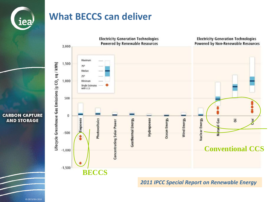

### **What BECCS can deliver**



*2011 IPCC Special Report on Renewable Energy* 

**CARBON CAPTURE AND STORAGE**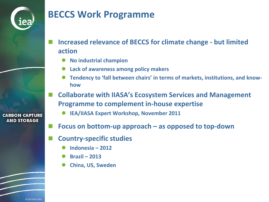

## **BECCS Work Programme**

- **Increased relevance of BECCS for climate change - but limited action**
	- **No industrial champion**
	- **Lack of awareness among policy makers**
	- **Tendency to 'fall between chairs' in terms of markets, institutions, and knowhow**
- **Collaborate with IIASA's Ecosystem Services and Management Programme to complement in-house expertise**
	- **IEA/IIASA Expert Workshop, November 2011**
- **Focus on bottom-up approach – as opposed to top-down**
- **Country-specific studies**
	- **Indonesia – 2012**
	- **Brazil – 2013**
	- **China, US, Sweden**

**CARBON CAPTURE AND STORAGE**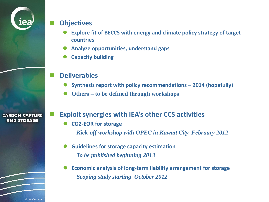

#### **Objectives**

- **Explore fit of BECCS with energy and climate policy strategy of target countries**
- **Analyze opportunities, understand gaps**
- **Capacity building**

### **Deliverables**

- **Synthesis report with policy recommendations – 2014 (hopefully)**
- **Others – to be defined through workshops**

**CARBON CAPTURE AND STORAGE** 

#### **Exploit synergies with IEA's other CCS activities**

- **CO2-EOR for storage** *Kick-off workshop with OPEC in Kuwait City, February 2012*
- **Guidelines for storage capacity estimation** *To be published beginning 2013*
- **Economic analysis of long-term liability arrangement for storage** *Scoping study starting October 2012*

© OECD/IEA 2010